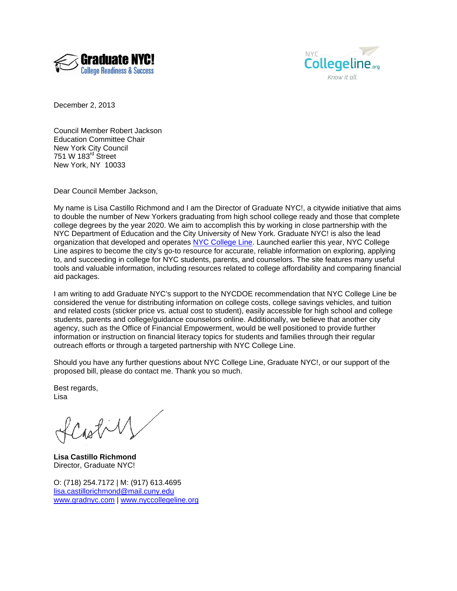



December 2, 2013

Council Member Robert Jackson Education Committee Chair New York City Council 751 W 183rd Street New York, NY 10033

Dear Council Member Jackson,

My name is Lisa Castillo Richmond and I am the Director of Graduate NYC!, a citywide initiative that aims to double the number of New Yorkers graduating from high school college ready and those that complete college degrees by the year 2020. We aim to accomplish this by working in close partnership with the NYC Department of Education and the City University of New York. Graduate NYC! is also the lead organization that developed and operates NYC College Line. Launched earlier this year, NYC College Line aspires to become the city's go-to resource for accurate, reliable information on exploring, applying to, and succeeding in college for NYC students, parents, and counselors. The site features many useful tools and valuable information, including resources related to college affordability and comparing financial aid packages.

I am writing to add Graduate NYC's support to the NYCDOE recommendation that NYC College Line be considered the venue for distributing information on college costs, college savings vehicles, and tuition and related costs (sticker price vs. actual cost to student), easily accessible for high school and college students, parents and college/guidance counselors online. Additionally, we believe that another city agency, such as the Office of Financial Empowerment, would be well positioned to provide further information or instruction on financial literacy topics for students and families through their regular outreach efforts or through a targeted partnership with NYC College Line.

Should you have any further questions about NYC College Line, Graduate NYC!, or our support of the proposed bill, please do contact me. Thank you so much.

Best regards, Lisa

Castill

**Lisa Castillo Richmond**  Director, Graduate NYC!

O: (718) 254.7172 | M: (917) 613.4695 lisa.castillorichmond@mail.cuny.edu www.gradnyc.com | www.nyccollegeline.org